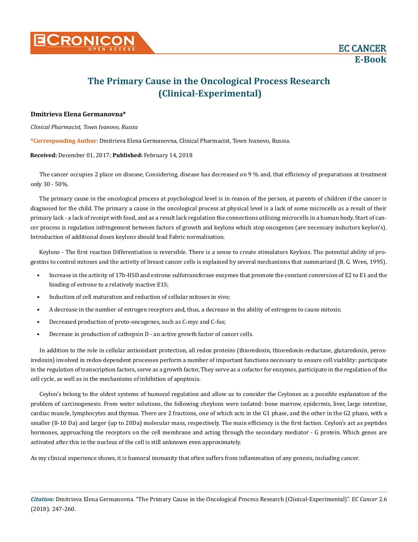# **The Primary Cause in the Oncological Process Research (Clinical-Experimental)**

# **Dmitrieva Elena Germanovna\***

## *Clinical Pharmacist, Town Ivanovo, Russia*

**\*Corresponding Author:** Dmitrieva Elena Germanovna, Clinical Pharmacist, Town Ivanovo, Russia.

#### **Received:** December 01, 2017; **Published:** February 14, 2018

The cancer occupies 2 place on disease, Considering, disease has decreased on 9 % and, that efficiency of preparations at treatment only 30 - 50%.

The primary cause in the oncological process at psychological level is in reason of the person, at parents of children if the cancer is diagnosed for the child. The primary a cause in the oncological process at physical level is a lack of some microcells as a result of their primary lack - a lack of receipt with food, and as a result lack regulation the connections utilising microcells in a human body. Start of cancer process is regulation infringement between factors of growth and keylons which stop oncogenes (are necessary inductors keylon's). Introduction of additional doses keylons should lead Fabric normalisation.

Keylons - The first reaction Differentiation is reversible. There is a sense to create stimulators Keylons. The potential ability of progestins to control mitoses and the activity of breast cancer cells is explained by several mechanisms that summarized (B. G. Wren, 1995).

- Increase in the activity of 17b-HSD and estrone sulfotransferase enzymes that promote the constant conversion of E2 to E1 and the binding of estrone to a relatively inactive E1S;
- Induction of cell maturation and reduction of cellular mitoses in vivo;
- A decrease in the number of estrogen receptors and, thus, a decrease in the ability of estrogens to cause mitosis;
- Decreased production of proto-oncogenes, such as C-myc and C-fos;
- Decrease in production of cathepsin D an active growth factor of cancer cells.

In addition to the role in cellular antioxidant protection, all redox proteins (thioredoxin, thioredoxin-reductase, glutaredoxin, peroxiredoxin) involved in redox-dependent processes perform a number of important functions necessary to ensure cell viability: participate in the regulation of transcription factors, serve as a growth factor, They serve as a cofactor for enzymes, participate in the regulation of the cell cycle, as well as in the mechanisms of inhibition of apoptosis.

Ceylon's belong to the oldest systems of humoral regulation and allow us to consider the Ceylones as a possible explanation of the problem of carcinogenesis. From water solutions, the following cheylons were isolated: bone marrow, epidermis, liver, large intestine, cardiac muscle, lymphocytes and thymus. There are 2 fractions, one of which acts in the G1 phase, and the other in the G2 phase, with a smaller (8-10 Da) and larger (up to 20Dа) molecular mass, respectively. The main efficiency is the first faction. Ceylon's act as peptides hormones, approaching the receptors on the cell membrane and acting through the secondary mediator - G protein. Which genes are activated after this in the nucleus of the cell is still unknown even approximately.

As my clinical experience shows, it is humoral immunity that often suffers from inflammation of any genesis, including cancer.

*Citation:* Dmitrieva Elena Germanovna. "The Primary Cause in the Oncological Process Research (Clinical-Experimental)". *EC Cancer* 2.6 (2018): 247-260.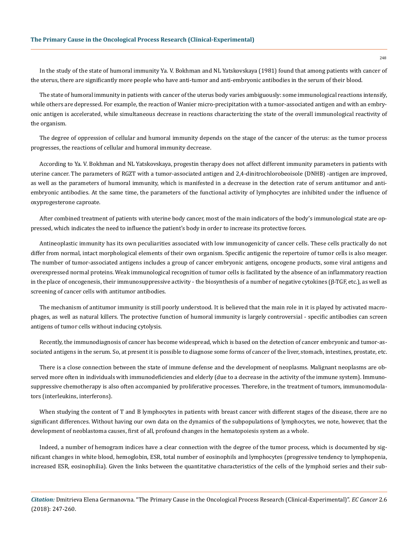In the study of the state of humoral immunity Ya. V. Bokhman and NL Yatskovskaya (1981) found that among patients with cancer of the uterus, there are significantly more people who have anti-tumor and anti-embryonic antibodies in the serum of their blood.

The state of humoral immunity in patients with cancer of the uterus body varies ambiguously: some immunological reactions intensify, while others are depressed. For example, the reaction of Wanier micro-precipitation with a tumor-associated antigen and with an embryonic antigen is accelerated, while simultaneous decrease in reactions characterizing the state of the overall immunological reactivity of the organism.

The degree of oppression of cellular and humoral immunity depends on the stage of the cancer of the uterus: as the tumor process progresses, the reactions of cellular and humoral immunity decrease.

According to Ya. V. Bokhman and NL Yatskovskaya, progestin therapy does not affect different immunity parameters in patients with uterine cancer. The parameters of RGZT with a tumor-associated antigen and 2,4-dinitrochlorobeoisole (DNHB) -antigen are improved, as well as the parameters of humoral immunity, which is manifested in a decrease in the detection rate of serum antitumor and antiembryonic antibodies. At the same time, the parameters of the functional activity of lymphocytes are inhibited under the influence of oxyprogesterone caproate.

After combined treatment of patients with uterine body cancer, most of the main indicators of the body's immunological state are oppressed, which indicates the need to influence the patient's body in order to increase its protective forces.

Antineoplastic immunity has its own peculiarities associated with low immunogenicity of cancer cells. These cells practically do not differ from normal, intact morphological elements of their own organism. Specific antigenic the repertoire of tumor cells is also meager. The number of tumor-associated antigens includes a group of cancer embryonic antigens, oncogene products, some viral antigens and overexpressed normal proteins. Weak immunological recognition of tumor cells is facilitated by the absence of an inflammatory reaction in the place of oncogenesis, their immunosuppressive activity - the biosynthesis of a number of negative cytokines (β-TGF, etc.), as well as screening of cancer cells with antitumor antibodies.

The mechanism of antitumor immunity is still poorly understood. It is believed that the main role in it is played by activated macrophages, as well as natural killers. The protective function of humoral immunity is largely controversial - specific antibodies can screen antigens of tumor cells without inducing cytolysis.

Recently, the immunodiagnosis of cancer has become widespread, which is based on the detection of cancer embryonic and tumor-associated antigens in the serum. So, at present it is possible to diagnose some forms of cancer of the liver, stomach, intestines, prostate, etc.

There is a close connection between the state of immune defense and the development of neoplasms. Malignant neoplasms are observed more often in individuals with immunodeficiencies and elderly (due to a decrease in the activity of the immune system). Immunosuppressive chemotherapy is also often accompanied by proliferative processes. Therefore, in the treatment of tumors, immunomodulators (interleukins, interferons).

When studying the content of T and B lymphocytes in patients with breast cancer with different stages of the disease, there are no significant differences. Without having our own data on the dynamics of the subpopulations of lymphocytes, we note, however, that the development of neoblastoma causes, first of all, profound changes in the hematopoiesis system as a whole.

Indeed, a number of hemogram indices have a clear connection with the degree of the tumor process, which is documented by significant changes in white blood, hemoglobin, ESR, total number of eosinophils and lymphocytes (progressive tendency to lymphopenia, increased ESR, eosinophilia). Given the links between the quantitative characteristics of the cells of the lymphoid series and their sub-

*Citation:* Dmitrieva Elena Germanovna. "The Primary Cause in the Oncological Process Research (Clinical-Experimental)". *EC Cancer* 2.6 (2018): 247-260.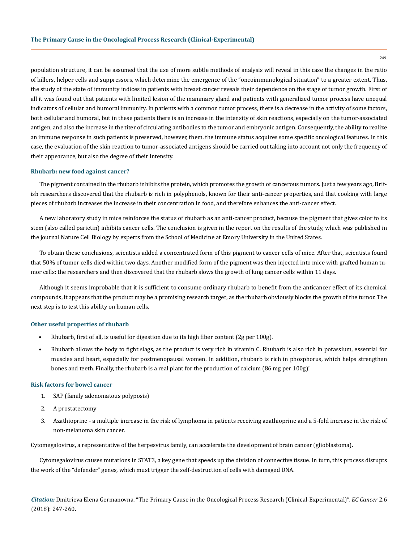population structure, it can be assumed that the use of more subtle methods of analysis will reveal in this case the changes in the ratio of killers, helper cells and suppressors, which determine the emergence of the "oncoimmunological situation" to a greater extent. Thus, the study of the state of immunity indices in patients with breast cancer reveals their dependence on the stage of tumor growth. First of all it was found out that patients with limited lesion of the mammary gland and patients with generalized tumor process have unequal indicators of cellular and humoral immunity. In patients with a common tumor process, there is a decrease in the activity of some factors, both cellular and humoral, but in these patients there is an increase in the intensity of skin reactions, especially on the tumor-associated antigen, and also the increase in the titer of circulating antibodies to the tumor and embryonic antigen. Consequently, the ability to realize an immune response in such patients is preserved, however, them. the immune status acquires some specific oncological features. In this case, the evaluation of the skin reaction to tumor-associated antigens should be carried out taking into account not only the frequency of their appearance, but also the degree of their intensity.

#### **Rhubarb: new food against cancer?**

The pigment contained in the rhubarb inhibits the protein, which promotes the growth of cancerous tumors. Just a few years ago, British researchers discovered that the rhubarb is rich in polyphenols, known for their anti-cancer properties, and that cooking with large pieces of rhubarb increases the increase in their concentration in food, and therefore enhances the anti-cancer effect.

A new laboratory study in mice reinforces the status of rhubarb as an anti-cancer product, because the pigment that gives color to its stem (also called parietin) inhibits cancer cells. The conclusion is given in the report on the results of the study, which was published in the journal Nature Cell Biology by experts from the School of Medicine at Emory University in the United States.

To obtain these conclusions, scientists added a concentrated form of this pigment to cancer cells of mice. After that, scientists found that 50% of tumor cells died within two days. Another modified form of the pigment was then injected into mice with grafted human tumor cells: the researchers and then discovered that the rhubarb slows the growth of lung cancer cells within 11 days.

Although it seems improbable that it is sufficient to consume ordinary rhubarb to benefit from the anticancer effect of its chemical compounds, it appears that the product may be a promising research target, as the rhubarb obviously blocks the growth of the tumor. The next step is to test this ability on human cells.

#### **Other useful properties of rhubarb**

- Rhubarb, first of all, is useful for digestion due to its high fiber content (2g per 100g).
- Rhubarb allows the body to fight slags, as the product is very rich in vitamin C. Rhubarb is also rich in potassium, essential for muscles and heart, especially for postmenopausal women. In addition, rhubarb is rich in phosphorus, which helps strengthen bones and teeth. Finally, the rhubarb is a real plant for the production of calcium (86 mg per 100g)!

#### **Risk factors for bowel cancer**

- 1. SAP (family adenomatous polyposis)
- 2. A prostatectomy
- 3. Azathioprine a multiple increase in the risk of lymphoma in patients receiving azathioprine and a 5-fold increase in the risk of non-melanoma skin cancer.

Cytomegalovirus, a representative of the herpesvirus family, can accelerate the development of brain cancer (glioblastoma).

Cytomegalovirus causes mutations in STAT3, a key gene that speeds up the division of connective tissue. In turn, this process disrupts the work of the "defender" genes, which must trigger the self-destruction of cells with damaged DNA.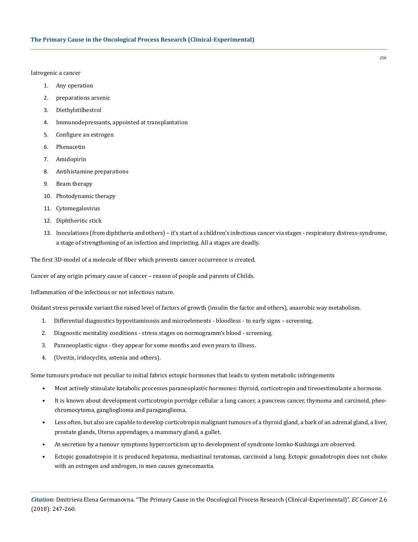Iatrogenic a cancer

- 1. Any operation
- 2. preparations arsenic
- 3. Diethylstilbestrol
- 4. Immunodepressants, appointed at transplantation
- 5. Configure an estrogen
- 6. Phenacetin
- 7. Amidopirin
- 8. Antihistamine preparations
- 9. Beam therapy
- 10. Photodynamic therapy
- 11. Cytomegalovirus
- 12. Diphtheritic stick
- 13. Inoculations (from diphtheria and others) it's start of a children's infectious cancer via stages respiratory distress-syndrome, a stage of strengthening of an infection and imprinting. All a stages are deadly.

The first 3D-model of a molecule of fiber which prevents cancer occurrence is created.

Cancer of any origin primary cause of cancer – reason of people and parents of Childs.

Inflammation of the infectious or not infectious nature.

Oxidant stress peroxide variant the raised level of factors of growth (insulin the factor and others), anaerobic way metabolism.

- 1. Differential diagnostics hypovitaminosis and microelements bloodless to early signs screening.
- 2. Diagnostic mentality conditions stress stages on normogramm's blood screening.
- 3. Paraneoplastic signs they appear for some months and even years to illness.
- 4. (Uveitis, iridocyclits, astenia and others).

Some tumours produce not peculiar to initial fabrics ectopic hormones that leads to system metabolic infringements

- Most actively stimulate katabolic processes paraneoplastic hormones: thyroid, corticotropin and tireoestimulante a hormone.
- It is known about development corticotropin porridge cellular a lung cancer, a pancreas cancer, thymoma and carcinoid, pheochromocytoma, ganglioglioma and paraganglioma.
- Less often, but also are capable to develop corticotropin malignant tumours of a thyroid gland, a bark of an adrenal gland, a liver, prostate glands, Uterus appendages, a mammary gland, a gullet.
- At secretion by a tumour symptoms hypercorticism up to development of syndrome Icenko-Kushinga are observed.
- Ectopic gonadotropin it is produced hepatoma, mediastinal teratomas, carcinoid a lung. Ectopic gonadotropin does not choke with an estrogen and androgen, in men causes gynecomastia.

*Citation:* Dmitrieva Elena Germanovna. "The Primary Cause in the Oncological Process Research (Clinical-Experimental)". *EC Cancer* 2.6 (2018): 247-260.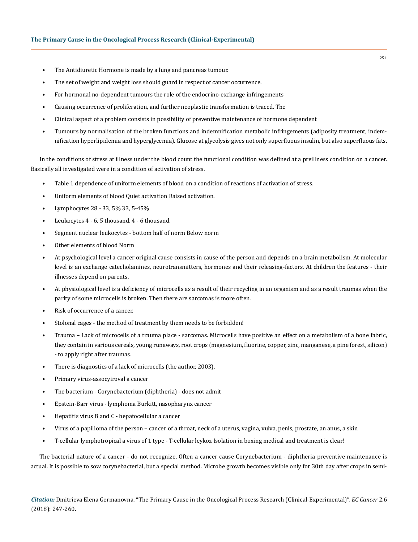- The Antidiuretic Hormone is made by a lung and pancreas tumour.
- The set of weight and weight loss should guard in respect of cancer occurrence.
- For hormonal no-dependent tumours the role of the endocrino-exchange infringements
- Causing occurrence of proliferation, and further neoplastic transformation is traced. The
- Clinical aspect of a problem consists in possibility of preventive maintenance of hormone dependent
- Tumours by normalisation of the broken functions and indemnification metabolic infringements (adiposity treatment, indemnification hyperlipidemia and hyperglycemia). Glucose at glycolysis gives not only superfluous insulin, but also superfluous fats.

In the conditions of stress at illness under the blood count the functional condition was defined at a preillness condition on a cancer. Basically all investigated were in a condition of activation of stress.

- Table 1 dependence of uniform elements of blood on a condition of reactions of activation of stress.
- Uniform elements of blood Quiet activation Raised activation.
- Lymphocytes 28 33, 5% 33, 5-45%
- Leukocytes 4 6, 5 thousand. 4 6 thousand.
- Segment nuclear leukocytes bottom half of norm Below norm
- Other elements of blood Norm
- At psychological level a cancer original cause consists in cause of the person and depends on a brain metabolism. At molecular level is an exchange catecholamines, neurotransmitters, hormones and their releasing-factors. At children the features - their illnesses depend on parents.
- At physiological level is a deficiency of microcells as a result of their recycling in an organism and as a result traumas when the parity of some microcells is broken. Then there are sarcomas is more often.
- Risk of occurrence of a cancer.
- Stolonal cages the method of treatment by them needs to be forbidden!
- Trauma Lack of microcells of a trauma place sarcomas. Microcells have positive an effect on a metabolism of a bone fabric, they contain in various cereals, young runaways, root crops (magnesium, fluorine, copper, zinc, manganese, a pine forest, silicon) - to apply right after traumas.
- There is diagnostics of a lack of microcells (the author, 2003).
- Primary virus-assocyiroval a cancer
- The bacterium Corynebacterium (diphtheria) does not admit
- Epstein-Barr virus lymphoma Burkitt, nasopharynx cancer
- Hepatitis virus B and C hepatocellular a cancer
- Virus of a papilloma of the person cancer of a throat, neck of a uterus, vagina, vulva, penis, prostate, an anus, a skin
- T-cellular lymphotropical a virus of 1 type T-cellular leykoz Isolation in boxing medical and treatment is clear!

The bacterial nature of a cancer - do not recognize. Often a cancer cause Corynebacterium - diphtheria preventive maintenance is actual. It is possible to sow corynebacterial, but a special method. Microbe growth becomes visible only for 30th day after crops in semi-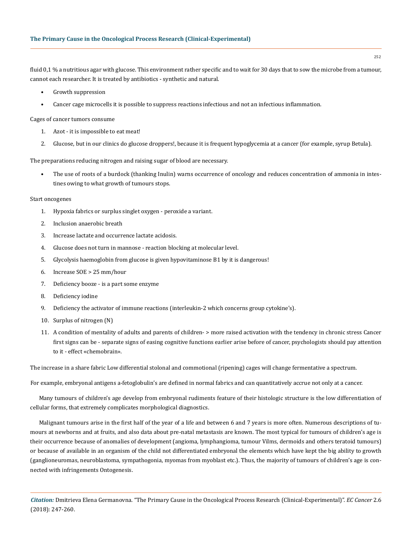fluid 0,1 % a nutritious agar with glucose. This environment rather specific and to wait for 30 days that to sow the microbe from a tumour, cannot each researcher. It is treated by antibiotics - synthetic and natural.

- Growth suppression
- Cancer cage microcells it is possible to suppress reactions infectious and not an infectious inflammation.

Cages of cancer tumors consume

- 1. Azot it is impossible to eat meat!
- 2. Glucose, but in our clinics do glucose droppers!, because it is frequent hypoglycemia at a cancer (for example, syrup Betula).

The preparations reducing nitrogen and raising sugar of blood are necessary.

• The use of roots of a burdock (thanking Inulin) warns occurrence of oncology and reduces concentration of ammonia in intestines owing to what growth of tumours stops.

#### Start oncogenes

- 1. Hypoxia fabrics or surplus singlet oxygen peroxide a variant.
- 2. Inclusion anaerobic breath
- 3. Increase lactate and occurrence lactate acidosis.
- 4. Glucose does not turn in mannose reaction blocking at molecular level.
- 5. Glycolysis haemoglobin from glucose is given hypovitaminose В1 by it is dangerous!
- 6. Increase SОE > 25 mm/hour
- 7. Deficiency booze is a part some enzyme
- 8. Deficiency iodine
- 9. Deficiency the activator of immune reactions (interleukin-2 which concerns group cytokine's).
- 10. Surplus of nitrogen (N)
- 11. A condition of mentality of adults and parents of children- > more raised activation with the tendency in chronic stress Cancer first signs can be - separate signs of easing cognitive functions earlier arise before of cancer, psychologists should pay attention to it - effect «chemobrain».

The increase in a share fabric Low differential stolonal and commotional (ripening) cages will change fermentative a spectrum.

For example, embryonal antigens a-fetoglobulin's are defined in normal fabrics and can quantitatively accrue not only at a cancer.

Many tumours of children's age develop from embryonal rudiments feature of their histologic structure is the low differentiation of cellular forms, that extremely complicates morphological diagnostics.

Malignant tumours arise in the first half of the year of a life and between 6 and 7 years is more often. Numerous descriptions of tumours at newborns and at fruits, and also data about pre-natal metastasis are known. The most typical for tumours of children's age is their occurrence because of anomalies of development (angioma, lymphangioma, tumour Vilms, dermoids and others teratoid tumours) or because of available in an organism of the child not differentiated embryonal the elements which have kept the big ability to growth (ganglioneuromas, neuroblastoma, sympathogonia, myomas from myoblast etc.). Thus, the majority of tumours of children's age is connected with infringements Ontogenesis.

*Citation:* Dmitrieva Elena Germanovna. "The Primary Cause in the Oncological Process Research (Clinical-Experimental)". *EC Cancer* 2.6 (2018): 247-260.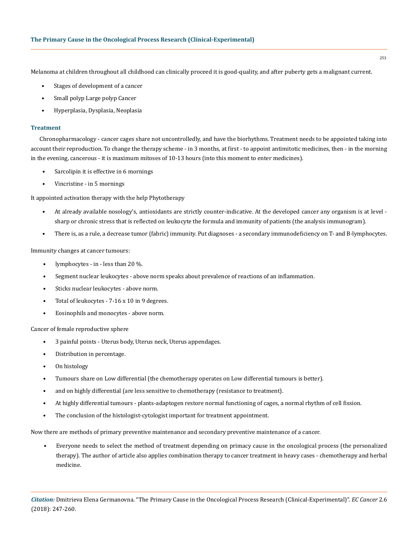Melanoma at children throughout all childhood can clinically proceed it is good-quality, and after puberty gets a malignant current.

- Stages of development of a cancer
- Small polyp Large polyp Cancer
- Hyperplasia, Dysplasia, Neoplasia

#### **Treatment**

Chronopharmacology - cancer cages share not uncontrolledly, and have the biorhythms. Treatment needs to be appointed taking into account their reproduction. To change the therapy scheme - in 3 months, at first - to appoint antimitotic medicines, then - in the morning in the evening, cancerous - it is maximum mitoses of 10-13 hours (into this moment to enter medicines).

- Sarcolipin it is effective in 6 mornings
- Vincristine in 5 mornings

It appointed activation therapy with the help Phytotherapy

- At already available nosology's, antioxidants are strictly counter-indicative. At the developed cancer any organism is at level sharp or chronic stress that is reflected on leukocyte the formula and immunity of patients (the analysis immunogram).
- There is, as a rule, a decrease tumor (fabric) immunity. Put diagnoses a secondary immunodeficiency on T- and B-lymphocytes.

Immunity changes at cancer tumours:

- lymphocytes in less than 20 %.
- Segment nuclear leukocytes above norm speaks about prevalence of reactions of an inflammation.
- Sticks nuclear leukocytes above norm.
- Total of leukocytes 7-16 x 10 in 9 degrees.
- Eosinophils and monocytes above norm.

Cancer of female reproductive sphere

- 3 painful points Uterus body, Uterus neck, Uterus appendages.
- Distribution in percentage.
- On histology
- Tumours share on Low differential (the chemotherapy operates on Low differential tumours is better).
- and on highly differential (are less sensitive to chemotherapy (resistance to treatment).
- At highly differential tumours plants-adaptogen restore normal functioning of cages, a normal rhythm of cell fission.
- The conclusion of the histologist-cytologist important for treatment appointment.

Now there are methods of primary preventive maintenance and secondary preventive maintenance of a cancer.

• Everyone needs to select the method of treatment depending on primacy cause in the oncological process (the personalized therapy). The author of article also applies combination therapy to cancer treatment in heavy cases - chemotherapy and herbal medicine.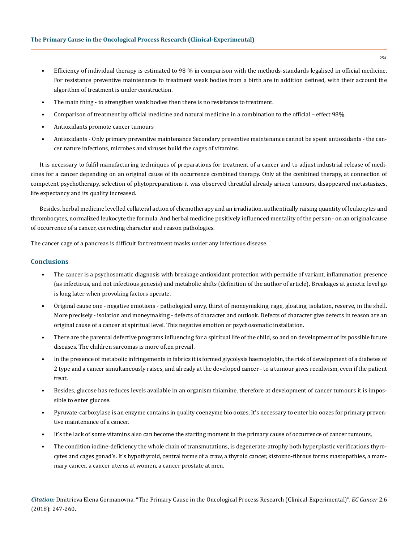- Efficiency of individual therapy is estimated to 98 % in comparison with the methods-standards legalised in official medicine. For resistance preventive maintenance to treatment weak bodies from a birth are in addition defined, with their account the algorithm of treatment is under construction.
- The main thing to strengthen weak bodies then there is no resistance to treatment.
- Comparison of treatment by official medicine and natural medicine in a combination to the official effect 98%.
- Antioxidants promote cancer tumours
- Antioxidants Only primary preventive maintenance Secondary preventive maintenance cannot be spent antioxidants the cancer nature infections, microbes and viruses build the cages of vitamins.

It is necessary to fulfil manufacturing techniques of preparations for treatment of a cancer and to adjust industrial release of medicines for a cancer depending on an original cause of its occurrence combined therapy. Only at the combined therapy, at connection of competent psychotherapy, selection of phytopreparations it was observed threatful already arisen tumours, disappeared metastasizes, life expectancy and its quality increased.

Besides, herbal medicine levelled collateral action of chemotherapy and an irradiation, authentically raising quantity of leukocytes and thrombocytes, normalized leukocyte the formula. And herbal medicine positively influenced mentality of the person - on an original cause of occurrence of a cancer, correcting character and reason pathologies.

The cancer cage of a pancreas is difficult for treatment masks under any infectious disease.

## **Conclusions**

- The cancer is a psychosomatic diagnosis with breakage antioxidant protection with peroxide of variant, inflammation presence (as infectious, and not infectious genesis) and metabolic shifts (definition of the author of article). Breakages at genetic level go is long later when provoking factors operate.
- Original cause one negative emotions pathological envy, thirst of moneymaking, rage, gloating, isolation, reserve, in the shell. More precisely - isolation and moneymaking - defects of character and outlook. Defects of character give defects in reason are an original cause of a cancer at spiritual level. This negative emotion or psychosomatic installation.
- There are the parental defective programs influencing for a spiritual life of the child, so and on development of its possible future diseases. The children sarcomas is more often prevail.
- In the presence of metabolic infringements in fabrics it is formed glycolysis haemoglobin, the risk of development of a diabetes of 2 type and a cancer simultaneously raises, and already at the developed cancer - to a tumour gives recidivism, even if the patient treat.
- Besides, glucose has reduces levels available in an organism thiamine, therefore at development of cancer tumours it is impossible to enter glucose.
- Pyruvate-carboxylase is an enzyme contains in quality coenzyme bio oozes, It's necessary to enter bio oozes for primary preventive maintenance of a cancer.
- It's the lack of some vitamins also can become the starting moment in the primary cause of occurrence of cancer tumours,
- The condition iodine-deficiency the whole chain of transmutations, is degenerate-atrophy both hyperplastic verifications thyrocytes and cages gonad's. It's hypothyroid, central forms of a craw, a thyroid cancer, kistozno-fibrous forms mastopathies, a mammary cancer, a cancer uterus at women, a cancer prostate at men.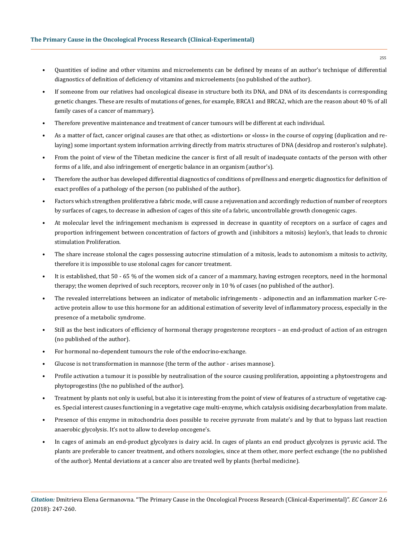- Quantities of iodine and other vitamins and microelements can be defined by means of an author's technique of differential diagnostics of definition of deficiency of vitamins and microelements (no published of the author).
- If someone from our relatives had oncological disease in structure both its DNA, and DNA of its descendants is corresponding genetic changes. These are results of mutations of genes, for example, BRCA1 and BRCA2, which are the reason about 40 % of all family cases of a cancer of mammary).
- Therefore preventive maintenance and treatment of cancer tumours will be different at each individual.
- As a matter of fact, cancer original causes are that other, as «distortion» or «loss» in the course of copying (duplication and relaying) some important system information arriving directly from matrix structures of DNA (desidrop and rosteron's sulphate).
- From the point of view of the Tibetan medicine the cancer is first of all result of inadequate contacts of the person with other forms of a life, and also infringement of energetic balance in an organism (author's).
- Therefore the author has developed differential diagnostics of conditions of preillness and energetic diagnostics for definition of exact profiles of a pathology of the person (no published of the author).
- Factors which strengthen proliferative a fabric mode, will cause a rejuvenation and accordingly reduction of number of receptors by surfaces of cages, to decrease in adhesion of cages of this site of a fabric, uncontrollable growth clonogenic cages.
- At molecular level the infringement mechanism is expressed in decrease in quantity of receptors on a surface of cages and proportion infringement between concentration of factors of growth and (inhibitors a mitosis) keylon's, that leads to chronic stimulation Proliferation.
- The share increase stolonal the cages possessing autocrine stimulation of a mitosis, leads to autonomism a mitosis to activity, therefore it is impossible to use stolonal cages for cancer treatment.
- It is established, that 50 65 % of the women sick of a cancer of a mammary, having estrogen receptors, need in the hormonal therapy; the women deprived of such receptors, recover only in 10 % of cases (no published of the author).
- The revealed interrelations between an indicator of metabolic infringements adiponectin and an inflammation marker C-reactive protein allow to use this hormone for an additional estimation of severity level of inflammatory process, especially in the presence of a metabolic syndrome.
- Still as the best indicators of efficiency of hormonal therapy progesterone receptors an end-product of action of an estrogen (no published of the author).
- For hormonal no-dependent tumours the role of the endocrino-exchange.
- Glucose is not transformation in mannose (the term of the author arises mannose).
- Profile activation a tumour it is possible by neutralisation of the source causing proliferation, appointing a phytoestrogens and phytoprogestins (the no published of the author).
- Treatment by plants not only is useful, but also it is interesting from the point of view of features of a structure of vegetative cages. Special interest causes functioning in a vegetative cage multi-enzyme, which catalysis oxidising decarboxylation from malate.
- Presence of this enzyme in mitochondria does possible to receive pyruvate from malate's and by that to bypass last reaction anaerobic glycolysis. It's not to allow to develop oncogene's.
- In cages of animals an end-product glycolyzes is dairy acid. In cages of plants an end product glycolyzes is pyruvic acid. The plants are preferable to cancer treatment, and others nozologies, since at them other, more perfect exchange (the no published of the author). Mental deviations at a cancer also are treated well by plants (herbal medicine).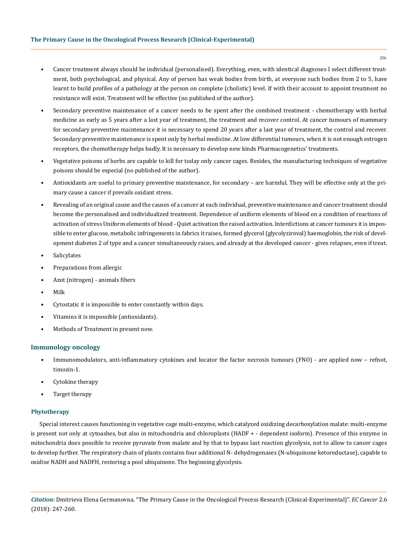- Cancer treatment always should be individual (personalised). Everything, even, with identical diagnoses I select different treatment, both psychological, and physical. Any of person has weak bodies from birth, at everyone such bodies from 2 to 5, have learnt to build profiles of a pathology at the person on complete (cholistic) level. If with their account to appoint treatment no resistance will exist. Treatment will be effective (no published of the author).
- Secondary preventive maintenance of a cancer needs to be spent after the combined treatment chemotherapy with herbal medicine as early as 5 years after a last year of treatment, the treatment and recover control. At cancer tumours of mammary for secondary preventive maintenance it is necessary to spend 20 years after a last year of treatment, the control and recover. Secondary preventive maintenance is spent only by herbal medicine. At low differential tumours, when it is not enough estrogen receptors, the chemotherapy helps badly. It is necessary to develop new kinds Pharmacogenetics' treatments.
- Vegetative poisons of herbs are capable to kill for today only cancer cages. Besides, the manufacturing techniques of vegetative poisons should be especial (no published of the author).
- Antioxidants are useful to primary preventive maintenance, for secondary are harmful. They will be effective only at the primary cause a cancer if prevails oxidant stress.
- Revealing of an original cause and the causes of a cancer at each individual, preventive maintenance and cancer treatment should become the personalised and individualized treatment. Dependence of uniform elements of blood on a condition of reactions of activation of stress Uniform elements of blood - Quiet activation the raised activation. Interdictions at cancer tumours it is impossible to enter glucose, metabolic infringements in fabrics it raises, formed glycerol (glycolyziroval) haemoglobin, the risk of development diabetes 2 of type and a cancer simultaneously raises, and already at the developed cancer - gives relapses, even if treat.
- **Salicylates**
- Preparations from allergic
- Azot (nitrogen) animals fibers
- Milk
- Cytostatic it is impossible to enter constantly within days.
- Vitamins it is impossible (antioxidants).
- Methods of Treatment in present now.

# **Immunology oncology**

- Immunomodulators, anti-inflammatory cytokines and locator the factor necrosis tumours (FNО) are applied now refnot, timozin-1.
- Cytokine therapy
- Target therapy

## **Phytotherapy**

Special interest causes functioning in vegetative cage multi-enzyme, which catalyzed oxidizing decarboxylation malate: multi-enzyme is present not only at cytoashes, but also in mitochondria and chloroplasts (НАDF + - dependent isoform). Presence of this enzyme in mitochondria does possible to receive pyruvate from malate and by that to bypass last reaction glycolysis, not to allow to cancer cages to develop further. The respiratory chain of plants contains four additional N- dehydrogenases (N-ubiquinone ketoreductase), capable to oxidise NАDН and NАDFН, restoring a pool ubiquinone. The beginning glycolysis.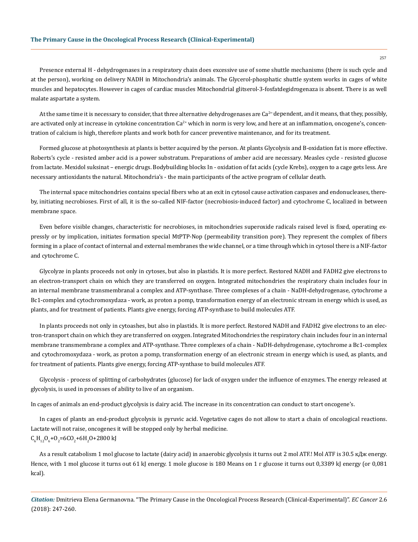Presence external Н - dehydrogenases in a respiratory chain does excessive use of some shuttle mechanisms (there is such cycle and at the person), working on delivery NАDН in Mitochondria's animals. The Glycerol-phosphatic shuttle system works in cages of white muscles and hepatocytes. However in cages of cardiac muscles Mitochondrial glitserol-3-fosfatdegidrogenaza is absent. There is as well malate aspartate a system.

At the same time it is necessary to consider, that three alternative dehydrogenases are  $Ca^{2+}$ dependent, and it means, that they, possibly, are activated only at increase in cytokine concentration  $Ca^{2+}$  which in norm is very low, and here at an inflammation, oncogene's, concentration of calcium is high, therefore plants and work both for cancer preventive maintenance, and for its treatment.

Formed glucose at photosynthesis at plants is better acquired by the person. At plants Glycolysis and B-oxidation fat is more effective. Roberts's cycle - resisted amber acid is a power substratum. Preparations of amber acid are necessary. Measles cycle - resisted glucose from lactate. Mexidol suksinat – energic drugs. Bodybuilding blocks In - oxidation of fat acids (cycle Krebs), oxygen to a cage gets less. Are necessary antioxidants the natural. Mitochondria's - the main participants of the active program of cellular death.

The internal space mitochondries contains special fibers who at an exit in cytosol cause activation caspases and endonucleases, thereby, initiating necrobioses. First of all, it is the so-called NIF-factor (necrobiosis-induced factor) and cytochrome C, localized in between membrane space.

Even before visible changes, characteristic for necrobioses, in mitochondries superoxide radicals raised level is fixed, operating expressly or by implication, initiates formation special MtPTP-Nop (permeability transition pore). They represent the complex of fibers forming in a place of contact of internal and external membranes the wide channel, or a time through which in cytosol there is a NIF-factor and cytochrome C.

Glycolyze in plants proceeds not only in cytoses, but also in plastids. It is more perfect. Restored NАDН and FАDН2 give electrons to an electron-transport chain on which they are transferred on oxygen. Integrated mitochondries the respiratory chain includes four in an internal membrane transmembranal a complex and ATP-synthase. Three complexes of a chain - NaDH-dehydrogenase, cytochrome a Bc1-complex and cytochromоxydaza - work, as proton a pomp, transformation energy of an electronic stream in energy which is used, as plants, and for treatment of patients. Plants give energy, forcing ATP-synthase to build molecules АТF.

In plants proceeds not only in cytoashes, but also in plastids. It is more perfect. Restored NАDН and FАDН2 give electrons to an electron-transport chain on which they are transferred on oxygen. Integrated Mitochondries the respiratory chain includes four in an internal membrane transmembrane a complex and ATP-synthase. Three complexes of a chain - NaDH-dehydrogenase, cytochrome a Bc1-complex and cytochromoxydaza - work, as proton a pomp, transformation energy of an electronic stream in energy which is used, as plants, and for treatment of patients. Plants give energy, forcing ATP-synthase to build molecules АТF.

Glycolysis - process of splitting of carbohydrates (glucose) for lack of oxygen under the influence of enzymes. The energy released at glycolysis, is used in processes of ability to live of an organism.

In cages of animals an end-product glycolysis is dairy acid. The increase in its concentration can conduct to start oncogene's.

In cages of plants an end-product glycolysis is pyruvic acid. Vegetative cages do not allow to start a chain of oncological reactions. Lactate will not raise, oncogenes it will be stopped only by herbal medicine.  $C_6H_{12}O_6+O_2=6CO_2+6H_2O+2800$  kJ

As a result catabolism 1 mol glucose to lactate (dairy acid) in anaerobic glycolysis it turns out 2 mol АТF.! Mоl АТF is 30.5 кДж energy. Hence, with 1 mol glucose it turns out 61 kJ energy. 1 mole glucose is 180 Means on 1 r glucose it turns out 0,3389 kJ energy (or 0,081) kcal).

*Citation:* Dmitrieva Elena Germanovna. "The Primary Cause in the Oncological Process Research (Clinical-Experimental)". *EC Cancer* 2.6 (2018): 247-260.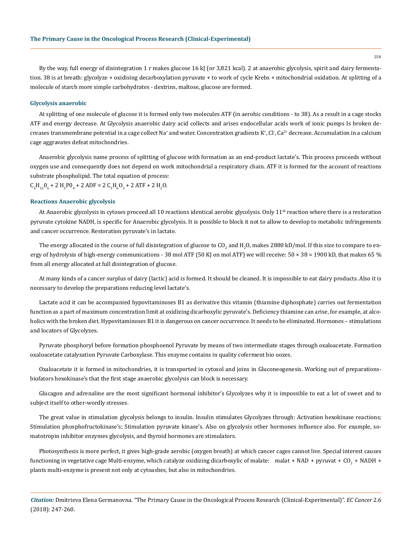By the way, full energy of disintegration 1 r makes glucose 16 kJ (or 3,821 kcal). 2 at anaerobic glycolysis, spirit and dairy fermentation. 38 is at breath: glycolyze + oxidising decarboxylation pyruvate + to work of cycle Krebs + mitochondrial oxidation. At splitting of a molecule of starch more simple carbohydrates - dextrins, maltose, glucose are formed.

#### **Glycolysis anaerobic**

At splitting of one molecule of glucose it is formed only two molecules АТF (in aerobic conditions - to 38). As a result in a cage stocks АТF and energy decrease. At Glycolysis anaerobic dairy acid collects and arises endocellular acids work of ionic pumps Is broken decreases transmembrane potential in a cage collect Na<sup>+</sup> and water. Concentration gradients K\*, Cl<sup>-</sup>, Ca<sup>2+</sup> decrease. Accumulation in a calcium cage aggravates defeat mitochondries.

Anaerobic glycolysis name process of splitting of glucose with formation as an end-product lactate's. This process proceeds without oxygen use and consequently does not depend on work mitochondrial a respiratory chain. АТF it is formed for the account of reactions substrate phospholipid. The total equation of process:

 $C_6H_{12}O_6 + 2H_3PO_4 + 2ADF = 2C_3H_6O_3 + 2ATF + 2H_2O.$ 

#### **Reactions Anaerobic glycolysis**

At Anaerobic glycolysis in cytoses proceed all 10 reactions identical aerobic glycolysis. Only  $11<sup>th</sup>$  reaction where there is a restoration pyruvate cytokine NADH, is specific for Anaerobic glycolysis. It is possible to block it not to allow to develop to metabolic infringements and cancer occurrence. Restoration pyruvate's in lactate.

The energy allocated in the course of full disintegration of glucose to CO<sub>2</sub> and H<sub>2</sub>O, makes 2880 kD/mol. If this size to compare to energy of hydrolysis of high-energy communications - 38 mol ATF (50 KJ on mol ATF) we will receive:  $50 \times 38 = 1900$  kD, that makes 65 % from all energy allocated at full disintegration of glucose.

At many kinds of a cancer surplus of dairy (lactic) acid is formed. It should be cleaned. It is impossible to eat dairy products. Also it is necessary to develop the preparations reducing level lactate's.

Lactate acid it can be accompanied hypovitaminoses В1 as derivative this vitamin (thiamine diphosphate) carries out fermentation function as a part of maximum concentration limit at oxidizing dicarboxylic pyruvate's. Deficiency thiamine can arise, for example, at alcoholics with the broken diet. Hypovitaminoses B1 it is dangerous on cancer occurrence. It needs to be eliminated. Hormones - stimulations and locators of Glycolyzes.

Pyruvate phosphoryl before formation phosphoenol Pyruvate by means of two intermediate stages through oxaloacetate. Formation oxaloacetate catalyzation Pyruvate Carboxylase. This enzyme contains in quality coferment bio oozes.

Oxaloacetate it is formed in mitochondries, it is transported in cytosol and joins in Gluconeogenesis. Working out of preparationsbiofators hexokinase's that the first stage anaerobic glycolysis can block is necessary.

Glucagon and adrenaline are the most significant hormonal inhibitor's Glycolyzes why it is impossible to eat a lot of sweet and to subject itself to other-wordly stresses.

The great value in stimulation glycolysis belongs to insulin. Insulin stimulates Glycolyzes through: Activation hexokinase reactions; Stimulation phosphofructokinase's; Stimulation pyruvate kinase's. Also on glycolysis other hormones influence also. For example, somatotropin inhibitor enzymes glycolysis, and thyroid hormones are stimulators.

Photosynthesis is more perfect, it gives high-grade aerobic (oxygen breath) at which cancer cages cannot live. Special interest causes functioning in vegetative cage Multi-enzyme, which catalyze oxidizing dicarboxylic of malate:  $\,$  malat + NAD + pyruvat + CO $_2$  + NADH +  $\,$ plants multi-enzyme is present not only at cytoashes, but also in mitochondries.

*Citation:* Dmitrieva Elena Germanovna. "The Primary Cause in the Oncological Process Research (Clinical-Experimental)". *EC Cancer* 2.6 (2018): 247-260.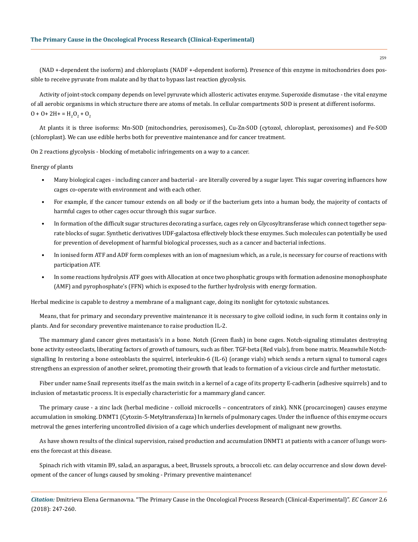(NAD +-dependent the isoform) and chloroplasts (NАDF +-dependent isoform). Presence of this enzyme in mitochondries does possible to receive pyruvate from malate and by that to bypass last reaction glycolysis.

Activity of joint-stock company depends on level pyruvate which allosteric activates enzyme. Superoxide dismutase - the vital enzyme of all aerobic organisms in which structure there are atoms of metals. In cellular compartments SОD is present at different isoforms.  $0 + 0 + 2H + H_2O_2 + O_2$ 

At plants it is three isoforms: Мn-SОD (mitochondries, peroxisomes), Cu-Zn-SОD (cytozol, chloroplast, peroxisomes) and Fe-SОD (chloroplast). We can use edible herbs both for preventive maintenance and for cancer treatment.

On 2 reactions glycolysis - blocking of metabolic infringements on a way to a cancer.

Energy of plants

- Many biological cages including cancer and bacterial are literally covered by a sugar layer. This sugar covering influences how cages co-operate with environment and with each other.
- For example, if the cancer tumour extends on all body or if the bacterium gets into a human body, the majority of contacts of harmful cages to other cages occur through this sugar surface.
- In formation of the difficult sugar structures decorating a surface, cages rely on Glycosyltransferase which connect together separate blocks of sugar. Synthetic derivatives UDF-galactosa effectively block these enzymes. Such molecules can potentially be used for prevention of development of harmful biological processes, such as a cancer and bacterial infections.
- In ionised form ATF and ADF form complexes with an ion of magnesium which, as a rule, is necessary for course of reactions with participation АТF.
- In some reactions hydrolysis АТF goes with Allocation at once two phosphatic groups with formation adenosine monophosphate (АМF) and pyrophosphate's (FFN) which is exposed to the further hydrolysis with energy formation.

Herbal medicine is capable to destroy a membrane of a malignant cage, doing its nonlight for cytotoxic substances.

Means, that for primary and secondary preventive maintenance it is necessary to give colloid iodine, in such form it contains only in plants. And for secondary preventive maintenance to raise production IL-2.

The mammary gland cancer gives metastasis's in a bone. Notch (Green flash) in bone cages. Notch-signaling stimulates destroying bone activity osteoclasts, liberating factors of growth of tumours, such as fiber. TGF-beta (Red vials), from bone matrix. Meanwhile Notchsignalling In restoring a bone osteoblasts the squirrel, interleukin-6 (IL-6) (orange vials) which sends a return signal to tumoral cages strengthens an expression of another sekret, promoting their growth that leads to formation of a vicious circle and further metostatic.

Fiber under name Snail represents itself as the main switch in a kernel of a cage of its property E-cadherin (adhesive squirrels) and to inclusion of metastatic process. It is especially characteristic for a mammary gland cancer.

The primary cause - a zinc lack (herbal medicine - colloid microcells – concentrators of zink). NNK (procarcinogen) causes enzyme accumulation in smoking. DNMT1 (Cytozin-5-Metyltransferaza) In kernels of pulmonary cages. Under the influence of this enzyme occurs metroval the genes interfering uncontrolled division of a cage which underlies development of malignant new growths.

As have shown results of the clinical supervision, raised production and accumulation DNMT1 at patients with a cancer of lungs worsens the forecast at this disease.

Spinach rich with vitamin B9, salad, an asparagus, a beet, Brussels sprouts, a broccoli etc. can delay occurrence and slow down development of the cancer of lungs caused by smoking - Primary preventive maintenance!

*Citation:* Dmitrieva Elena Germanovna. "The Primary Cause in the Oncological Process Research (Clinical-Experimental)". *EC Cancer* 2.6 (2018): 247-260.